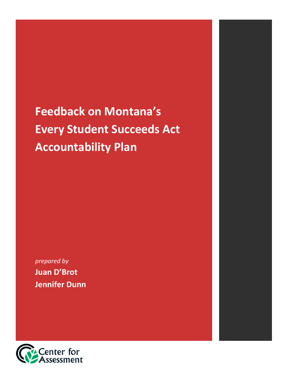# **Feedback on Montana's Every Student Succeeds Act Accountability Plan**

*prepared by* **Juan D'Brot Jennifer Dunn**

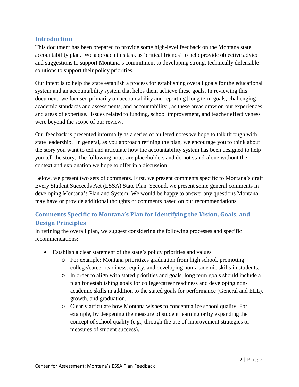#### **Introduction**

This document has been prepared to provide some high-level feedback on the Montana state accountability plan. We approach this task as 'critical friends' to help provide objective advice and suggestions to support Montana's commitment to developing strong, technically defensible solutions to support their policy priorities.

Our intent is to help the state establish a process for establishing overall goals for the educational system and an accountability system that helps them achieve these goals. In reviewing this document, we focused primarily on accountability and reporting [long term goals, challenging academic standards and assessments, and accountability], as these areas draw on our experiences and areas of expertise. Issues related to funding, school improvement, and teacher effectiveness were beyond the scope of our review.

Our feedback is presented informally as a series of bulleted notes we hope to talk through with state leadership. In general, as you approach refining the plan, we encourage you to think about the story you want to tell and articulate how the accountability system has been designed to help you tell the story. The following notes are placeholders and do not stand-alone without the context and explanation we hope to offer in a discussion.

Below, we present two sets of comments. First, we present comments specific to Montana's draft Every Student Succeeds Act (ESSA) State Plan. Second, we present some general comments in developing Montana's Plan and System. We would be happy to answer any questions Montana may have or provide additional thoughts or comments based on our recommendations.

## **Comments Specific to Montana's Plan for Identifying the Vision, Goals, and Design Principles**

In refining the overall plan, we suggest considering the following processes and specific recommendations:

- Establish a clear statement of the state's policy priorities and values
	- o For example: Montana prioritizes graduation from high school, promoting college/career readiness, equity, and developing non-academic skills in students.
	- o In order to align with stated priorities and goals, long term goals should include a plan for establishing goals for college/career readiness and developing nonacademic skills in addition to the stated goals for performance (General and ELL), growth, and graduation.
	- o Clearly articulate how Montana wishes to conceptualize school quality. For example, by deepening the measure of student learning or by expanding the concept of school quality (e.g., through the use of improvement strategies or measures of student success).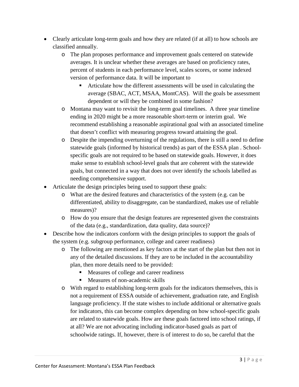- Clearly articulate long-term goals and how they are related (if at all) to how schools are classified annually.
	- o The plan proposes performance and improvement goals centered on statewide averages. It is unclear whether these averages are based on proficiency rates, percent of students in each performance level, scales scores, or some indexed version of performance data. It will be important to
		- Articulate how the different assessments will be used in calculating the average (SBAC, ACT, MSAA, MontCAS). Will the goals be assessment dependent or will they be combined in some fashion?
	- o Montana may want to revisit the long-term goal timelines. A three year timeline ending in 2020 might be a more reasonable short-term or interim goal. We recommend establishing a reasonable aspirational goal with an associated timeline that doesn't conflict with measuring progress toward attaining the goal.
	- o Despite the impending overturning of the regulations, there is still a need to define statewide goals (informed by historical trends) as part of the ESSA plan . Schoolspecific goals are not required to be based on statewide goals. However, it does make sense to establish school-level goals that are coherent with the statewide goals, but connected in a way that does not over identify the schools labelled as needing comprehensive support.
- Articulate the design principles being used to support these goals:
	- o What are the desired features and characteristics of the system (e.g. can be differentiated, ability to disaggregate, can be standardized, makes use of reliable measures)?
	- o How do you ensure that the design features are represented given the constraints of the data (e.g., standardization, data quality, data source)?
- Describe how the indicators conform with the design principles to support the goals of the system (e.g. subgroup performance, college and career readiness)
	- o The following are mentioned as key factors at the start of the plan but then not in any of the detailed discussions. If they are to be included in the accountability plan, then more details need to be provided:
		- Measures of college and career readiness
		- **Measures of non-academic skills**
	- o With regard to establishing long-term goals for the indicators themselves, this is not a requirement of ESSA outside of achievement, graduation rate, and English language proficiency. If the state wishes to include additional or alternative goals for indicators, this can become complex depending on how school-specific goals are related to statewide goals. How are these goals factored into school ratings, if at all? We are not advocating including indicator-based goals as part of schoolwide ratings. If, however, there is of interest to do so, be careful that the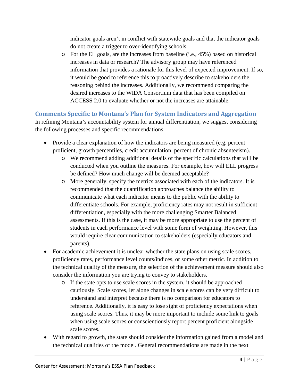indicator goals aren't in conflict with statewide goals and that the indicator goals do not create a trigger to over-identifying schools.

o For the EL goals, are the increases from baseline (i.e., 45%) based on historical increases in data or research? The advisory group may have referenced information that provides a rationale for this level of expected improvement. If so, it would be good to reference this to proactively describe to stakeholders the reasoning behind the increases. Additionally, we recommend comparing the desired increases to the WIDA Consortium data that has been compiled on ACCESS 2.0 to evaluate whether or not the increases are attainable.

#### **Comments Specific to Montana's Plan for System Indicators and Aggregation**

In refining Montana's accountability system for annual differentiation, we suggest considering the following processes and specific recommendations:

- Provide a clear explanation of how the indicators are being measured (e.g. percent proficient, growth percentiles, credit accumulation, percent of chronic absenteeism).
	- o We recommend adding additional details of the specific calculations that will be conducted when you outline the measures. For example, how will ELL progress be defined? How much change will be deemed acceptable?
	- o More generally, specify the metrics associated with each of the indicators. It is recommended that the quantification approaches balance the ability to communicate what each indicator means to the public with the ability to differentiate schools. For example, proficiency rates may not result in sufficient differentiation, especially with the more challenging Smarter Balanced assessments. If this is the case, it may be more appropriate to use the percent of students in each performance level with some form of weighting. However, this would require clear communication to stakeholders (especially educators and parents).
- For academic achievement it is unclear whether the state plans on using scale scores, proficiency rates, performance level counts/indices, or some other metric. In addition to the technical quality of the measure, the selection of the achievement measure should also consider the information you are trying to convey to stakeholders.
	- o If the state opts to use scale scores in the system, it should be approached cautiously. Scale scores, let alone changes in scale scores can be very difficult to understand and interpret because there is no comparison for educators to reference. Additionally, it is easy to lose sight of proficiency expectations when using scale scores. Thus, it may be more important to include some link to goals when using scale scores or conscientiously report percent proficient alongside scale scores.
- With regard to growth, the state should consider the information gained from a model and the technical qualities of the model. General recommendations are made in the next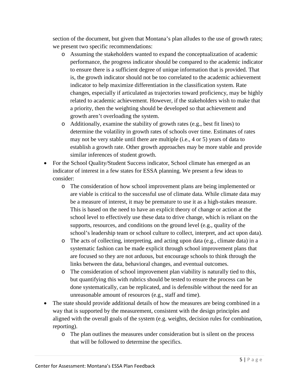section of the document, but given that Montana's plan alludes to the use of growth rates; we present two specific recommendations:

- o Assuming the stakeholders wanted to expand the conceptualization of academic performance, the progress indicator should be compared to the academic indicator to ensure there is a sufficient degree of unique information that is provided. That is, the growth indicator should not be too correlated to the academic achievement indicator to help maximize differentiation in the classification system. Rate changes, especially if articulated as trajectories toward proficiency, may be highly related to academic achievement. However, if the stakeholders wish to make that a priority, then the weighting should be developed so that achievement and growth aren't overloading the system.
- o Additionally, examine the stability of growth rates (e.g., best fit lines) to determine the volatility in growth rates of schools over time. Estimates of rates may not be very stable until there are multiple (i.e., 4 or 5) years of data to establish a growth rate. Other growth approaches may be more stable and provide similar inferences of student growth.
- For the School Quality/Student Success indicator, School climate has emerged as an indicator of interest in a few states for ESSA planning. We present a few ideas to consider:
	- o The consideration of how school improvement plans are being implemented or are viable is critical to the successful use of climate data. While climate data may be a measure of interest, it may be premature to use it as a high-stakes measure. This is based on the need to have an explicit theory of change or action at the school level to effectively use these data to drive change, which is reliant on the supports, resources, and conditions on the ground level (e.g., quality of the school's leadership team or school culture to collect, interpret, and act upon data).
	- o The acts of collecting, interpreting, and acting upon data (e.g., climate data) in a systematic fashion can be made explicit through school improvement plans that are focused so they are not arduous, but encourage schools to think through the links between the data, behavioral changes, and eventual outcomes.
	- o The consideration of school improvement plan viability is naturally tied to this, but quantifying this with rubrics should be tested to ensure the process can be done systematically, can be replicated, and is defensible without the need for an unreasonable amount of resources (e.g., staff and time).
- The state should provide additional details of how the measures are being combined in a way that is supported by the measurement, consistent with the design principles and aligned with the overall goals of the system (e.g. weights, decision rules for combination, reporting).
	- o The plan outlines the measures under consideration but is silent on the process that will be followed to determine the specifics.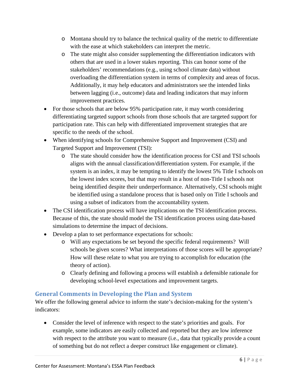- o Montana should try to balance the technical quality of the metric to differentiate with the ease at which stakeholders can interpret the metric.
- o The state might also consider supplementing the differentiation indicators with others that are used in a lower stakes reporting. This can honor some of the stakeholders' recommendations (e.g., using school climate data) without overloading the differentiation system in terms of complexity and areas of focus. Additionally, it may help educators and administrators see the intended links between lagging (i.e., outcome) data and leading indicators that may inform improvement practices.
- For those schools that are below 95% participation rate, it may worth considering differentiating targeted support schools from those schools that are targeted support for participation rate. This can help with differentiated improvement strategies that are specific to the needs of the school.
- When identifying schools for Comprehensive Support and Improvement (CSI) and Targeted Support and Improvement (TSI):
	- o The state should consider how the identification process for CSI and TSI schools aligns with the annual classification/differentiation system. For example, if the system is an index, it may be tempting to identify the lowest 5% Title I schools on the lowest index scores, but that may result in a host of non-Title I schools not being identified despite their underperformance. Alternatively, CSI schools might be identified using a standalone process that is based only on Title I schools and using a subset of indicators from the accountability system.
- The CSI identification process will have implications on the TSI identification process. Because of this, the state should model the TSI identification process using data-based simulations to determine the impact of decisions.
- Develop a plan to set performance expectations for schools:
	- o Will any expectations be set beyond the specific federal requirements? Will schools be given scores? What interpretations of those scores will be appropriate? How will these relate to what you are trying to accomplish for education (the theory of action).
	- o Clearly defining and following a process will establish a defensible rationale for developing school-level expectations and improvement targets.

### **General Comments in Developing the Plan and System**

We offer the following general advice to inform the state's decision-making for the system's indicators:

• Consider the level of inference with respect to the state's priorities and goals. For example, some indicators are easily collected and reported but they are low inference with respect to the attribute you want to measure (i.e., data that typically provide a count of something but do not reflect a deeper construct like engagement or climate).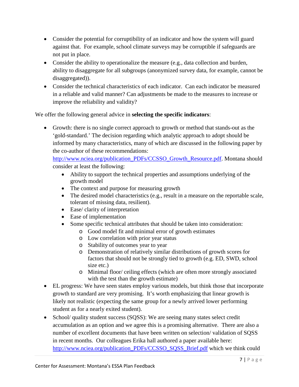- Consider the potential for corruptibility of an indicator and how the system will guard against that. For example, school climate surveys may be corruptible if safeguards are not put in place.
- Consider the ability to operationalize the measure (e.g., data collection and burden, ability to disaggregate for all subgroups (anonymized survey data, for example, cannot be disaggregated)).
- Consider the technical characteristics of each indicator. Can each indicator be measured in a reliable and valid manner? Can adjustments be made to the measures to increase or improve the reliability and validity?

We offer the following general advice in **selecting the specific indicators**:

• Growth: there is no single correct approach to growth or method that stands-out as the 'gold-standard.' The decision regarding which analytic approach to adopt should be informed by many characteristics, many of which are discussed in the following paper by the co-author of these recommendations:

[http://www.nciea.org/publication\\_PDFs/CCSSO\\_Growth\\_Resource.pdf.](http://www.nciea.org/publication_PDFs/CCSSO_Growth_Resource.pdf) Montana should consider at least the following:

- Ability to support the technical properties and assumptions underlying of the growth model
- The context and purpose for measuring growth
- The desired model characteristics (e.g., result in a measure on the reportable scale, tolerant of missing data, resilient).
- Ease/ clarity of interpretation
- Ease of implementation
- Some specific technical attributes that should be taken into consideration:
	- o Good model fit and minimal error of growth estimates
	- o Low correlation with prior year status
	- o Stability of outcomes year to year
	- o Demonstration of relatively similar distributions of growth scores for factors that should not be strongly tied to growth (e.g. ED, SWD, school size etc.)
	- o Minimal floor/ ceiling effects (which are often more strongly associated with the test than the growth estimate)
- EL progress: We have seen states employ various models, but think those that incorporate growth to standard are very promising. It's worth emphasizing that linear growth is likely not realistic (expecting the same group for a newly arrived lower performing student as for a nearly exited student).
- School/ quality student success (SQSS): We are seeing many states select credit accumulation as an option and we agree this is a promising alternative. There are also a number of excellent documents that have been written on selection/ validation of SQSS in recent months. Our colleagues Erika hall authored a paper available here: [http://www.nciea.org/publication\\_PDFs/CCSSO\\_SQSS\\_Brief.pdf](http://www.nciea.org/publication_PDFs/CCSSO_SQSS_Brief.pdf) which we think could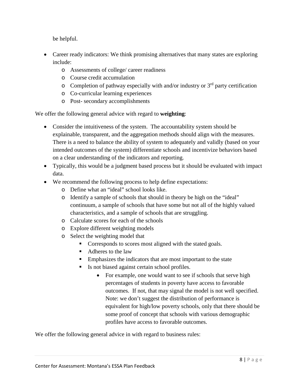be helpful.

- Career ready indicators: We think promising alternatives that many states are exploring include:
	- o Assessments of college/ career readiness
	- o Course credit accumulation
	- o Completion of pathway especially with and/or industry or  $3<sup>rd</sup>$  party certification
	- o Co-curricular learning experiences
	- o Post- secondary accomplishments

We offer the following general advice with regard to **weighting**:

- Consider the intuitiveness of the system. The accountability system should be explainable, transparent, and the aggregation methods should align with the measures. There is a need to balance the ability of system to adequately and validly (based on your intended outcomes of the system) differentiate schools and incentivize behaviors based on a clear understanding of the indicators and reporting.
- Typically, this would be a judgment based process but it should be evaluated with impact data.
- We recommend the following process to help define expectations:
	- o Define what an "ideal" school looks like.
	- o Identify a sample of schools that should in theory be high on the "ideal" continuum, a sample of schools that have some but not all of the highly valued characteristics, and a sample of schools that are struggling.
	- o Calculate scores for each of the schools
	- o Explore different weighting models
	- o Select the weighting model that
		- Corresponds to scores most aligned with the stated goals.
		- Adheres to the law
		- **Emphasizes the indicators that are most important to the state**
		- Is not biased against certain school profiles.
			- For example, one would want to see if schools that serve high percentages of students in poverty have access to favorable outcomes. If not, that may signal the model is not well specified. Note: we don't suggest the distribution of performance is equivalent for high/low poverty schools, only that there should be some proof of concept that schools with various demographic profiles have access to favorable outcomes.

We offer the following general advice in with regard to business rules: